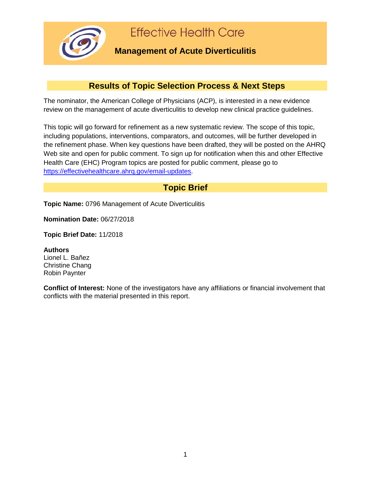

## **Results of Topic Selection Process & Next Steps**

The nominator, the American College of Physicians (ACP), is interested in a new evidence review on the management of acute diverticulitis to develop new clinical practice guidelines.

This topic will go forward for refinement as a new systematic review. The scope of this topic, including populations, interventions, comparators, and outcomes, will be further developed in the refinement phase. When key questions have been drafted, they will be posted on the AHRQ Web site and open for public comment. To sign up for notification when this and other Effective Health Care (EHC) Program topics are posted for public comment, please go to [https://effectivehealthcare.ahrq.gov/email-updates.](https://effectivehealthcare.ahrq.gov/email-updates)

## **Topic Brief**

**Topic Name:** 0796 Management of Acute Diverticulitis

**Nomination Date:** 06/27/2018

**Topic Brief Date:** 11/2018

**Authors** Lionel L. Bañez Christine Chang Robin Paynter

**Conflict of Interest:** None of the investigators have any affiliations or financial involvement that conflicts with the material presented in this report.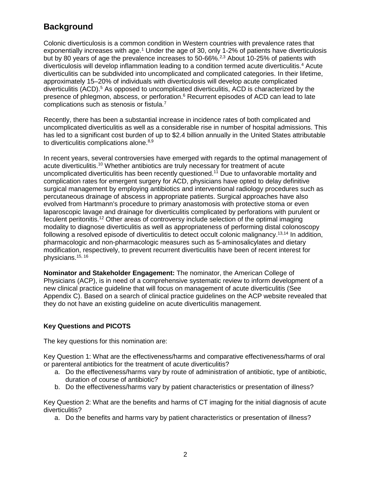# **Background**

Colonic diverticulosis is a common condition in Western countries with prevalence rates that exponentially increases with age.<sup>1</sup> Under the age of 30, only 1-2% of patients have diverticulosis but by 80 years of age the prevalence increases to 50-66%.<sup>2,3</sup> About 10-25% of patients with diverticulosis will develop inflammation leading to a condition termed acute diverticulitis. <sup>4</sup> Acute diverticulitis can be subdivided into uncomplicated and complicated categories. In their lifetime, approximately 15–20% of individuals with diverticulosis will develop acute complicated diverticulitis (ACD). <sup>5</sup> As opposed to uncomplicated diverticulitis, ACD is characterized by the presence of phlegmon, abscess, or perforation.<sup>6</sup> Recurrent episodes of ACD can lead to late complications such as stenosis or fistula.7

Recently, there has been a substantial increase in incidence rates of both complicated and uncomplicated diverticulitis as well as a considerable rise in number of hospital admissions. This has led to a significant cost burden of up to \$2.4 billion annually in the United States attributable to diverticulitis complications alone.<sup>8,9</sup>

In recent years, several controversies have emerged with regards to the optimal management of acute diverticulitis. <sup>10</sup> Whether antibiotics are truly necessary for treatment of acute uncomplicated diverticulitis has been recently questioned.<sup>11</sup> Due to unfavorable mortality and complication rates for emergent surgery for ACD, physicians have opted to delay definitive surgical management by employing antibiotics and interventional radiology procedures such as percutaneous drainage of abscess in appropriate patients. Surgical approaches have also evolved from Hartmann's procedure to primary anastomosis with protective stoma or even laparoscopic lavage and drainage for diverticulitis complicated by perforations with purulent or feculent peritonitis.12 Other areas of controversy include selection of the optimal imaging modality to diagnose diverticulitis as well as appropriateness of performing distal colonoscopy following a resolved episode of diverticulitis to detect occult colonic malignancy.<sup>13,14</sup> In addition, pharmacologic and non-pharmacologic measures such as 5-aminosalicylates and dietary modification, respectively, to prevent recurrent diverticulitis have been of recent interest for physicians.15, 16

**Nominator and Stakeholder Engagement:** The nominator, the American College of Physicians (ACP), is in need of a comprehensive systematic review to inform development of a new clinical practice guideline that will focus on management of acute diverticulitis (See Appendix C). Based on a search of clinical practice guidelines on the ACP website revealed that they do not have an existing guideline on acute diverticulitis management.

## **Key Questions and PICOTS**

The key questions for this nomination are:

Key Question 1: What are the effectiveness/harms and comparative effectiveness/harms of oral or parenteral antibiotics for the treatment of acute diverticulitis?

- a. Do the effectiveness/harms vary by route of administration of antibiotic, type of antibiotic, duration of course of antibiotic?
- b. Do the effectiveness/harms vary by patient characteristics or presentation of illness?

Key Question 2: What are the benefits and harms of CT imaging for the initial diagnosis of acute diverticulitis?

a. Do the benefits and harms vary by patient characteristics or presentation of illness?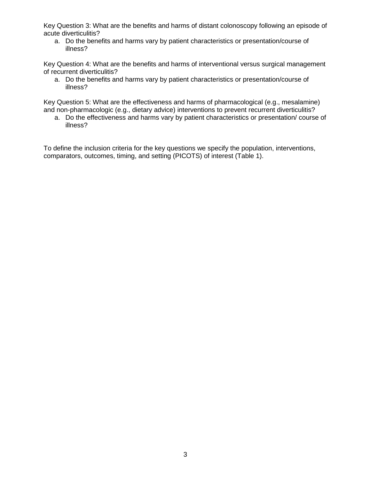Key Question 3: What are the benefits and harms of distant colonoscopy following an episode of acute diverticulitis?

a. Do the benefits and harms vary by patient characteristics or presentation/course of illness?

Key Question 4: What are the benefits and harms of interventional versus surgical management of recurrent diverticulitis?

a. Do the benefits and harms vary by patient characteristics or presentation/course of illness?

Key Question 5: What are the effectiveness and harms of pharmacological (e.g., mesalamine) and non-pharmacologic (e.g., dietary advice) interventions to prevent recurrent diverticulitis?

a. Do the effectiveness and harms vary by patient characteristics or presentation/ course of illness?

To define the inclusion criteria for the key questions we specify the population, interventions, comparators, outcomes, timing, and setting (PICOTS) of interest (Table 1).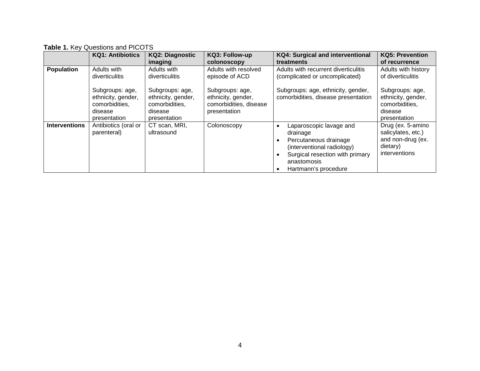**Table 1.** Key Questions and PICOTS

|                      | <b>KQ1: Antibiotics</b>                                                            | <b>KQ2: Diagnostic</b><br>imaging                                                  | KQ3: Follow-up<br>colonoscopy                                                   | <b>KQ4: Surgical and interventional</b><br>treatments                                                                                                                | <b>KQ5: Prevention</b><br>of recurrence                                                          |
|----------------------|------------------------------------------------------------------------------------|------------------------------------------------------------------------------------|---------------------------------------------------------------------------------|----------------------------------------------------------------------------------------------------------------------------------------------------------------------|--------------------------------------------------------------------------------------------------|
| <b>Population</b>    | Adults with<br>diverticulitis                                                      | Adults with<br>diverticulitis                                                      | Adults with resolved<br>episode of ACD                                          | Adults with recurrent diverticulitis<br>(complicated or uncomplicated)                                                                                               | Adults with history<br>of diverticulitis                                                         |
|                      | Subgroups: age,<br>ethnicity, gender,<br>comorbidities,<br>disease<br>presentation | Subgroups: age,<br>ethnicity, gender,<br>comorbidities,<br>disease<br>presentation | Subgroups: age,<br>ethnicity, gender,<br>comorbidities, disease<br>presentation | Subgroups: age, ethnicity, gender,<br>comorbidities, disease presentation                                                                                            | Subgroups: age,<br>ethnicity, gender,<br>comorbidities,<br>disease<br>presentation               |
| <b>Interventions</b> | Antibiotics (oral or<br>parenteral)                                                | CT scan, MRI,<br>ultrasound                                                        | Colonoscopy                                                                     | Laparoscopic lavage and<br>drainage<br>Percutaneous drainage<br>(interventional radiology)<br>Surgical resection with primary<br>anastomosis<br>Hartmann's procedure | Drug (ex. 5-amino<br>salicylates, etc.)<br>and non-drug (ex.<br>dietary)<br><i>interventions</i> |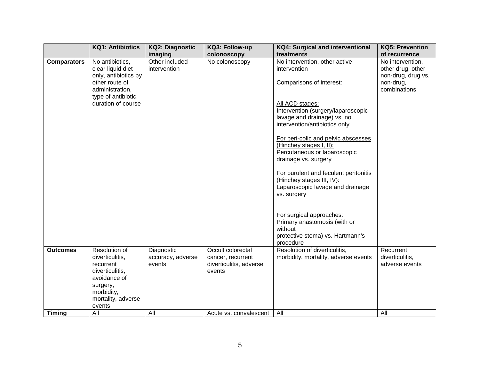|                    | <b>KQ1: Antibiotics</b>                                                                                                                    | <b>KQ2: Diagnostic</b>                    | KQ3: Follow-up                                                              | <b>KQ4: Surgical and interventional</b>                                                                                | <b>KQ5: Prevention</b>                                                   |
|--------------------|--------------------------------------------------------------------------------------------------------------------------------------------|-------------------------------------------|-----------------------------------------------------------------------------|------------------------------------------------------------------------------------------------------------------------|--------------------------------------------------------------------------|
|                    |                                                                                                                                            | imaging                                   | colonoscopy                                                                 | treatments                                                                                                             | of recurrence                                                            |
| <b>Comparators</b> | No antibiotics,<br>clear liquid diet<br>only, antibiotics by<br>other route of                                                             | Other included<br>intervention            | No colonoscopy                                                              | No intervention, other active<br>intervention<br>Comparisons of interest:                                              | No intervention,<br>other drug, other<br>non-drug, drug vs.<br>non-drug, |
|                    | administration,<br>type of antibiotic,<br>duration of course                                                                               |                                           |                                                                             | All ACD stages:<br>Intervention (surgery/laparoscopic<br>lavage and drainage) vs. no<br>intervention/antibiotics only  | combinations                                                             |
|                    |                                                                                                                                            |                                           |                                                                             | For peri-colic and pelvic abscesses<br>(Hinchey stages I, II):<br>Percutaneous or laparoscopic<br>drainage vs. surgery |                                                                          |
|                    |                                                                                                                                            |                                           |                                                                             | For purulent and feculent peritonitis<br>(Hinchey stages III, IV):<br>Laparoscopic lavage and drainage<br>vs. surgery  |                                                                          |
|                    |                                                                                                                                            |                                           |                                                                             | For surgical approaches:<br>Primary anastomosis (with or<br>without<br>protective stoma) vs. Hartmann's<br>procedure   |                                                                          |
| <b>Outcomes</b>    | Resolution of<br>diverticulitis,<br>recurrent<br>diverticulitis,<br>avoidance of<br>surgery,<br>morbidity,<br>mortality, adverse<br>events | Diagnostic<br>accuracy, adverse<br>events | Occult colorectal<br>cancer, recurrent<br>diverticulitis, adverse<br>events | Resolution of diverticulitis,<br>morbidity, mortality, adverse events                                                  | Recurrent<br>diverticulitis,<br>adverse events                           |
| <b>Timing</b>      | All                                                                                                                                        | All                                       | Acute vs. convalescent                                                      | All                                                                                                                    | All                                                                      |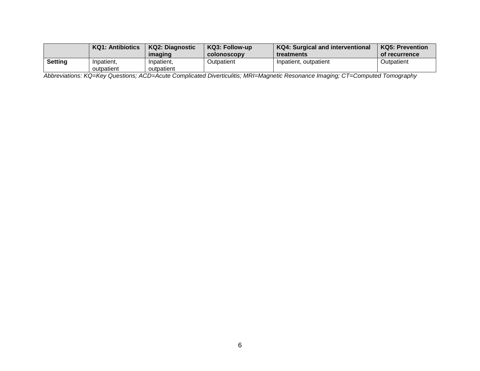|                | <b>KQ1: Antibiotics</b> | KQ2: Diagnostic | <b>KQ3: Follow-up</b> | <b>KQ4: Surgical and interventional</b> | KQ5: Prevention |
|----------------|-------------------------|-----------------|-----------------------|-----------------------------------------|-----------------|
|                |                         | imaging         | <b>COLONOSCODV</b>    | <b>treatments</b>                       | of recurrence   |
| <b>Setting</b> | Inpatient,              | Inpatient,      | Outpatient            | Inpatient, outpatient                   | Outpatient      |
|                | outpatient              | outpatient      |                       |                                         |                 |

*Abbreviations: KQ=Key Questions; ACD=Acute Complicated Diverticulitis; MRI=Magnetic Resonance Imaging; CT=Computed Tomography*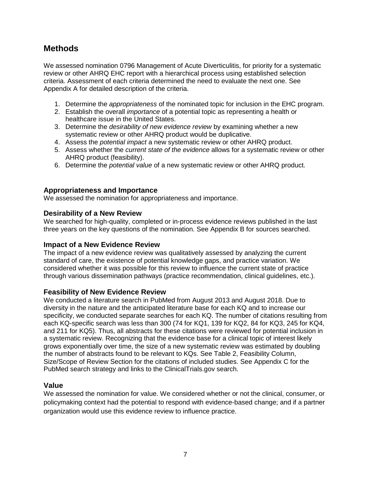## **Methods**

We assessed nomination 0796 Management of Acute Diverticulitis, for priority for a systematic review or other AHRQ EHC report with a hierarchical process using established selection criteria. Assessment of each criteria determined the need to evaluate the next one. See Appendix A for detailed description of the criteria.

- 1. Determine the *appropriateness* of the nominated topic for inclusion in the EHC program.
- 2. Establish the overall *importance* of a potential topic as representing a health or healthcare issue in the United States.
- 3. Determine the *desirability of new evidence review* by examining whether a new systematic review or other AHRQ product would be duplicative.
- 4. Assess the *potential impact* a new systematic review or other AHRQ product.
- 5. Assess whether the *current state of the evidence* allows for a systematic review or other AHRQ product (feasibility).
- 6. Determine the *potential value* of a new systematic review or other AHRQ product.

#### **Appropriateness and Importance**

We assessed the nomination for appropriateness and importance.

#### **Desirability of a New Review**

We searched for high-quality, completed or in-process evidence reviews published in the last three years on the key questions of the nomination. See Appendix B for sources searched.

#### **Impact of a New Evidence Review**

The impact of a new evidence review was qualitatively assessed by analyzing the current standard of care, the existence of potential knowledge gaps, and practice variation. We considered whether it was possible for this review to influence the current state of practice through various dissemination pathways (practice recommendation, clinical guidelines, etc.).

## **Feasibility of New Evidence Review**

We conducted a literature search in PubMed from August 2013 and August 2018. Due to diversity in the nature and the anticipated literature base for each KQ and to increase our specificity, we conducted separate searches for each KQ. The number of citations resulting from each KQ-specific search was less than 300 (74 for KQ1, 139 for KQ2, 84 for KQ3, 245 for KQ4, and 211 for KQ5). Thus, all abstracts for these citations were reviewed for potential inclusion in a systematic review. Recognizing that the evidence base for a clinical topic of interest likely grows exponentially over time, the size of a new systematic review was estimated by doubling the number of abstracts found to be relevant to KQs. See Table 2, Feasibility Column, Size/Scope of Review Section for the citations of included studies. See Appendix C for the PubMed search strategy and links to the ClinicalTrials.gov search.

## **Value**

We assessed the nomination for value. We considered whether or not the clinical, consumer, or policymaking context had the potential to respond with evidence-based change; and if a partner organization would use this evidence review to influence practice.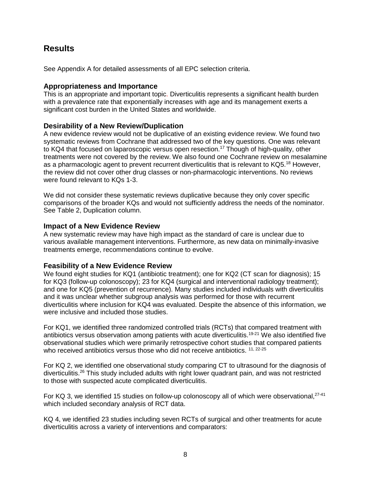## **Results**

See Appendix A for detailed assessments of all EPC selection criteria.

#### **Appropriateness and Importance**

This is an appropriate and important topic. Diverticulitis represents a significant health burden with a prevalence rate that exponentially increases with age and its management exerts a significant cost burden in the United States and worldwide.

## **Desirability of a New Review/Duplication**

A new evidence review would not be duplicative of an existing evidence review. We found two systematic reviews from Cochrane that addressed two of the key questions. One was relevant to KQ4 that focused on laparoscopic versus open resection. <sup>17</sup> Though of high-quality, other treatments were not covered by the review. We also found one Cochrane review on mesalamine as a pharmacologic agent to prevent recurrent diverticulitis that is relevant to KQ5. <sup>18</sup> However, the review did not cover other drug classes or non-pharmacologic interventions. No reviews were found relevant to KQs 1-3.

We did not consider these systematic reviews duplicative because they only cover specific comparisons of the broader KQs and would not sufficiently address the needs of the nominator. See Table 2, Duplication column.

#### **Impact of a New Evidence Review**

A new systematic review may have high impact as the standard of care is unclear due to various available management interventions. Furthermore, as new data on minimally-invasive treatments emerge, recommendations continue to evolve.

#### **Feasibility of a New Evidence Review**

We found eight studies for KQ1 (antibiotic treatment); one for KQ2 (CT scan for diagnosis); 15 for KQ3 (follow-up colonoscopy); 23 for KQ4 (surgical and interventional radiology treatment); and one for KQ5 (prevention of recurrence). Many studies included individuals with diverticulitis and it was unclear whether subgroup analysis was performed for those with recurrent diverticulitis where inclusion for KQ4 was evaluated. Despite the absence of this information, we were inclusive and included those studies.

For KQ1, we identified three randomized controlled trials (RCTs) that compared treatment with antibiotics versus observation among patients with acute diverticulitis. 19-21 We also identified five observational studies which were primarily retrospective cohort studies that compared patients who received antibiotics versus those who did not receive antibiotics. <sup>11, 22-25</sup>

For KQ 2, we identified one observational study comparing CT to ultrasound for the diagnosis of diverticulitis.26 This study included adults with right lower quadrant pain, and was not restricted to those with suspected acute complicated diverticulitis.

For KQ 3, we identified 15 studies on follow-up colonoscopy all of which were observational,<sup>27-41</sup> which included secondary analysis of RCT data.

KQ 4, we identified 23 studies including seven RCTs of surgical and other treatments for acute diverticulitis across a variety of interventions and comparators: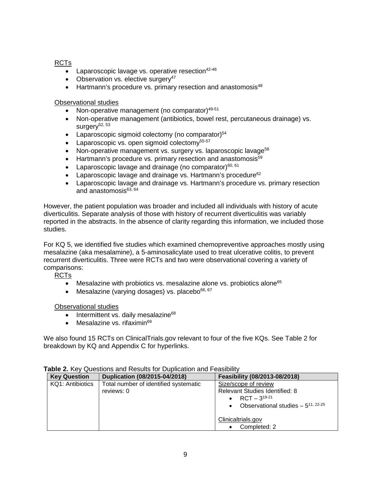### RCTs

- Laparoscopic lavage vs. operative resection $42-46$
- Observation vs. elective surgery<sup>47</sup>
- Hartmann's procedure vs. primary resection and anastomosis<sup>48</sup>

#### Observational studies

- Non-operative management (no comparator) $49-51$
- Non-operative management (antibiotics, bowel rest, percutaneous drainage) vs. surgery $52, 53$
- Laparoscopic sigmoid colectomy (no comparator) $54$
- Laparoscopic vs. open sigmoid colectomy<sup>55-57</sup>
- Non-operative management vs. surgery vs. laparoscopic lavage<sup>58</sup>
- Hartmann's procedure vs. primary resection and anastomosis $59$
- Laparoscopic lavage and drainage (no comparator) $60, 61$
- Laparoscopic lavage and drainage vs. Hartmann's procedure<sup>62</sup>
- Laparoscopic lavage and drainage vs. Hartmann's procedure vs. primary resection and anastomosis $63,64$

However, the patient population was broader and included all individuals with history of acute diverticulitis. Separate analysis of those with history of recurrent diverticulitis was variably reported in the abstracts. In the absence of clarity regarding this information, we included those studies.

For KQ 5, we identified five studies which examined chemopreventive approaches mostly using mesalazine (aka mesalamine), a 5-aminosalicylate used to treat ulcerative colitis, to prevent recurrent diverticulitis. Three were RCTs and two were observational covering a variety of comparisons:

RCTs

- Mesalazine with probiotics vs. mesalazine alone vs. probiotics alone $65$
- Mesalazine (varying dosages) vs. placebo $66, 67$

#### Observational studies

- $\bullet$  Intermittent vs. daily mesalazine<sup>68</sup>
- Mesalazine vs. rifaximin $69$

We also found 15 RCTs on ClinicalTrials.gov relevant to four of the five KQs. See Table 2 for breakdown by KQ and Appendix C for hyperlinks.

| <b>Key Question</b> | Duplication (08/2015-04/2018)                       | Feasibility (08/2013-08/2018)                                                                                                     |
|---------------------|-----------------------------------------------------|-----------------------------------------------------------------------------------------------------------------------------------|
| KQ1: Antibiotics    | Total number of identified systematic<br>reviews: 0 | Size/scope of review<br>Relevant Studies Identified: 8<br>$RCT - 3^{19-21}$<br>Observational studies $-5^{11,22-25}$<br>$\bullet$ |
|                     |                                                     | Clinicaltrials.gov                                                                                                                |
|                     |                                                     | Completed: 2                                                                                                                      |

#### **Table 2.** Key Questions and Results for Duplication and Feasibility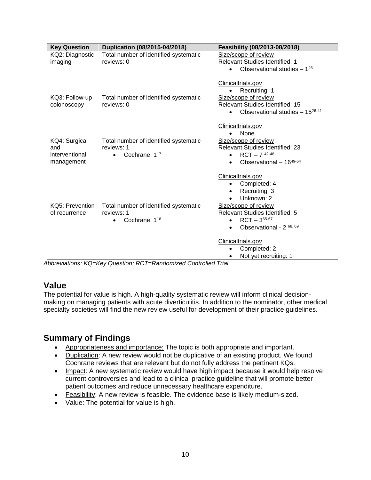| <b>Key Question</b> | Duplication (08/2015-04/2018)          | Feasibility (08/2013-08/2018)          |
|---------------------|----------------------------------------|----------------------------------------|
| KQ2: Diagnostic     | Total number of identified systematic  | Size/scope of review                   |
| imaging             | reviews: 0                             | Relevant Studies Identified: 1         |
|                     |                                        | Observational studies $-1^{26}$        |
|                     |                                        |                                        |
|                     |                                        | Clinicaltrials.gov                     |
|                     |                                        | Recruiting: 1<br>$\bullet$             |
| KQ3: Follow-up      | Total number of identified systematic  | Size/scope of review                   |
| colonoscopy         | reviews: 0                             | Relevant Studies Identified: 15        |
|                     |                                        | Observational studies $-15^{26-41}$    |
|                     |                                        |                                        |
|                     |                                        | Clinicaltrials.gov                     |
|                     |                                        | None                                   |
| KQ4: Surgical       | Total number of identified systematic  | Size/scope of review                   |
| and                 | reviews: 1                             | <b>Relevant Studies Identified: 23</b> |
| interventional      | Cochrane: 117<br>$\bullet$             | $RCT - 7$ 42-48                        |
| management          |                                        | Observational $-16^{49-64}$            |
|                     |                                        |                                        |
|                     |                                        | Clinicaltrials.gov                     |
|                     |                                        | Completed: 4                           |
|                     |                                        | Recruiting: 3                          |
|                     |                                        | Unknown: 2                             |
| KQ5: Prevention     | Total number of identified systematic  | Size/scope of review                   |
| of recurrence       | reviews: 1                             | Relevant Studies Identified: 5         |
|                     | Cochrane: 1 <sup>18</sup><br>$\bullet$ | $RCT - 3^{65-67}$                      |
|                     |                                        | Observational - 2 68, 69<br>$\bullet$  |
|                     |                                        |                                        |
|                     |                                        | Clinicaltrials.gov                     |
|                     |                                        | Completed: 2                           |
|                     |                                        | Not yet recruiting: 1                  |

*Abbreviations: KQ=Key Question; RCT=Randomized Controlled Trial*

# **Value**

The potential for value is high. A high-quality systematic review will inform clinical decisionmaking on managing patients with acute diverticulitis. In addition to the nominator, other medical specialty societies will find the new review useful for development of their practice guidelines.

# **Summary of Findings**

- Appropriateness and importance: The topic is both appropriate and important.
- Duplication: A new review would not be duplicative of an existing product. We found Cochrane reviews that are relevant but do not fully address the pertinent KQs.
- Impact: A new systematic review would have high impact because it would help resolve current controversies and lead to a clinical practice guideline that will promote better patient outcomes and reduce unnecessary healthcare expenditure.
- Feasibility: A new review is feasible. The evidence base is likely medium-sized.
- Value: The potential for value is high.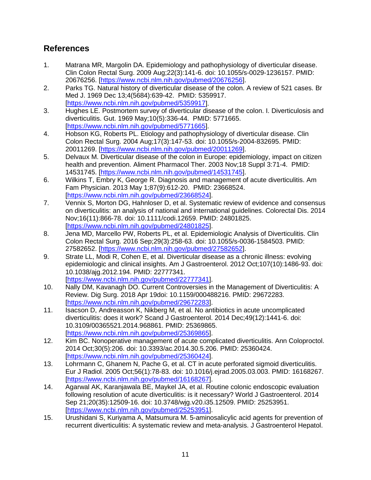# **References**

- 1. Matrana MR, Margolin DA. Epidemiology and pathophysiology of diverticular disease. Clin Colon Rectal Surg. 2009 Aug;22(3):141-6. doi: 10.1055/s-0029-1236157. PMID: 20676256. [\[https://www.ncbi.nlm.nih.gov/pubmed/20676256\]](https://www.ncbi.nlm.nih.gov/pubmed/20676256).
- 2. Parks TG. Natural history of diverticular disease of the colon. A review of 521 cases. Br Med J. 1969 Dec 13;4(5684):639-42. PMID: 5359917. [\[https://www.ncbi.nlm.nih.gov/pubmed/5359917\]](https://www.ncbi.nlm.nih.gov/pubmed/5359917).
- 3. Hughes LE. Postmortem survey of diverticular disease of the colon. I. Diverticulosis and diverticulitis. Gut. 1969 May;10(5):336-44. PMID: 5771665. [\[https://www.ncbi.nlm.nih.gov/pubmed/5771665\]](https://www.ncbi.nlm.nih.gov/pubmed/5771665).
- 4. Hobson KG, Roberts PL. Etiology and pathophysiology of diverticular disease. Clin Colon Rectal Surg. 2004 Aug;17(3):147-53. doi: 10.1055/s-2004-832695. PMID: 20011269. [\[https://www.ncbi.nlm.nih.gov/pubmed/20011269\]](https://www.ncbi.nlm.nih.gov/pubmed/20011269).
- 5. Delvaux M. Diverticular disease of the colon in Europe: epidemiology, impact on citizen health and prevention. Aliment Pharmacol Ther. 2003 Nov;18 Suppl 3:71-4. PMID: 14531745. [\[https://www.ncbi.nlm.nih.gov/pubmed/14531745\]](https://www.ncbi.nlm.nih.gov/pubmed/14531745).
- 6. Wilkins T, Embry K, George R. Diagnosis and management of acute diverticulitis. Am Fam Physician. 2013 May 1;87(9):612-20. PMID: 23668524. [\[https://www.ncbi.nlm.nih.gov/pubmed/23668524\]](https://www.ncbi.nlm.nih.gov/pubmed/23668524).
- 7. Vennix S, Morton DG, Hahnloser D, et al. Systematic review of evidence and consensus on diverticulitis: an analysis of national and international guidelines. Colorectal Dis. 2014 Nov;16(11):866-78. doi: 10.1111/codi.12659. PMID: 24801825. [\[https://www.ncbi.nlm.nih.gov/pubmed/24801825\]](https://www.ncbi.nlm.nih.gov/pubmed/24801825).
- 8. Jena MD, Marcello PW, Roberts PL, et al. Epidemiologic Analysis of Diverticulitis. Clin Colon Rectal Surg. 2016 Sep;29(3):258-63. doi: 10.1055/s-0036-1584503. PMID: 27582652. [\[https://www.ncbi.nlm.nih.gov/pubmed/27582652\]](https://www.ncbi.nlm.nih.gov/pubmed/27582652).
- 9. Strate LL, Modi R, Cohen E, et al. Diverticular disease as a chronic illness: evolving epidemiologic and clinical insights. Am J Gastroenterol. 2012 Oct;107(10):1486-93. doi: 10.1038/ajg.2012.194. PMID: 22777341. [\[https://www.ncbi.nlm.nih.gov/pubmed/22777341\]](https://www.ncbi.nlm.nih.gov/pubmed/22777341).
- 10. Nally DM, Kavanagh DO. Current Controversies in the Management of Diverticulitis: A Review. Dig Surg. 2018 Apr 19doi: 10.1159/000488216. PMID: 29672283. [\[https://www.ncbi.nlm.nih.gov/pubmed/29672283\]](https://www.ncbi.nlm.nih.gov/pubmed/29672283).
- 11. Isacson D, Andreasson K, Nikberg M, et al. No antibiotics in acute uncomplicated diverticulitis: does it work? Scand J Gastroenterol. 2014 Dec;49(12):1441-6. doi: 10.3109/00365521.2014.968861. PMID: 25369865. [\[https://www.ncbi.nlm.nih.gov/pubmed/25369865\]](https://www.ncbi.nlm.nih.gov/pubmed/25369865).
- 12. Kim BC. Nonoperative management of acute complicated diverticulitis. Ann Coloproctol. 2014 Oct;30(5):206. doi: 10.3393/ac.2014.30.5.206. PMID: 25360424. [\[https://www.ncbi.nlm.nih.gov/pubmed/25360424\]](https://www.ncbi.nlm.nih.gov/pubmed/25360424).
- 13. Lohrmann C, Ghanem N, Pache G, et al. CT in acute perforated sigmoid diverticulitis. Eur J Radiol. 2005 Oct;56(1):78-83. doi: 10.1016/j.ejrad.2005.03.003. PMID: 16168267. [\[https://www.ncbi.nlm.nih.gov/pubmed/16168267\]](https://www.ncbi.nlm.nih.gov/pubmed/16168267).
- 14. Agarwal AK, Karanjawala BE, Maykel JA, et al. Routine colonic endoscopic evaluation following resolution of acute diverticulitis: is it necessary? World J Gastroenterol. 2014 Sep 21;20(35):12509-16. doi: 10.3748/wjg.v20.i35.12509. PMID: 25253951. [\[https://www.ncbi.nlm.nih.gov/pubmed/25253951\]](https://www.ncbi.nlm.nih.gov/pubmed/25253951).
- 15. Urushidani S, Kuriyama A, Matsumura M. 5-aminosalicylic acid agents for prevention of recurrent diverticulitis: A systematic review and meta-analysis. J Gastroenterol Hepatol.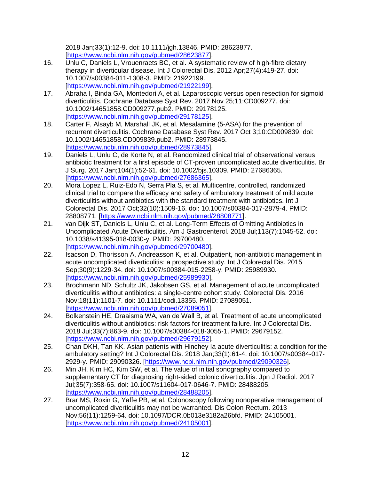2018 Jan;33(1):12-9. doi: 10.1111/jgh.13846. PMID: 28623877. [\[https://www.ncbi.nlm.nih.gov/pubmed/28623877\]](https://www.ncbi.nlm.nih.gov/pubmed/28623877).

- 16. Unlu C, Daniels L, Vrouenraets BC, et al. A systematic review of high-fibre dietary therapy in diverticular disease. Int J Colorectal Dis. 2012 Apr;27(4):419-27. doi: 10.1007/s00384-011-1308-3. PMID: 21922199. [\[https://www.ncbi.nlm.nih.gov/pubmed/21922199\]](https://www.ncbi.nlm.nih.gov/pubmed/21922199).
- 17. Abraha I, Binda GA, Montedori A, et al. Laparoscopic versus open resection for sigmoid diverticulitis. Cochrane Database Syst Rev. 2017 Nov 25;11:CD009277. doi: 10.1002/14651858.CD009277.pub2. PMID: 29178125. [\[https://www.ncbi.nlm.nih.gov/pubmed/29178125\]](https://www.ncbi.nlm.nih.gov/pubmed/29178125).
- 18. Carter F, Alsayb M, Marshall JK, et al. Mesalamine (5-ASA) for the prevention of recurrent diverticulitis. Cochrane Database Syst Rev. 2017 Oct 3;10:CD009839. doi: 10.1002/14651858.CD009839.pub2. PMID: 28973845. [\[https://www.ncbi.nlm.nih.gov/pubmed/28973845\]](https://www.ncbi.nlm.nih.gov/pubmed/28973845).
- 19. Daniels L, Unlu C, de Korte N, et al. Randomized clinical trial of observational versus antibiotic treatment for a first episode of CT-proven uncomplicated acute diverticulitis. Br J Surg. 2017 Jan;104(1):52-61. doi: 10.1002/bjs.10309. PMID: 27686365. [\[https://www.ncbi.nlm.nih.gov/pubmed/27686365\]](https://www.ncbi.nlm.nih.gov/pubmed/27686365).
- 20. Mora Lopez L, Ruiz-Edo N, Serra Pla S, et al. Multicentre, controlled, randomized clinical trial to compare the efficacy and safety of ambulatory treatment of mild acute diverticulitis without antibiotics with the standard treatment with antibiotics. Int J Colorectal Dis. 2017 Oct;32(10):1509-16. doi: 10.1007/s00384-017-2879-4. PMID: 28808771. [\[https://www.ncbi.nlm.nih.gov/pubmed/28808771\]](https://www.ncbi.nlm.nih.gov/pubmed/28808771).
- 21. van Dijk ST, Daniels L, Unlu C, et al. Long-Term Effects of Omitting Antibiotics in Uncomplicated Acute Diverticulitis. Am J Gastroenterol. 2018 Jul;113(7):1045-52. doi: 10.1038/s41395-018-0030-y. PMID: 29700480. [\[https://www.ncbi.nlm.nih.gov/pubmed/29700480\]](https://www.ncbi.nlm.nih.gov/pubmed/29700480).
- 22. Isacson D, Thorisson A, Andreasson K, et al. Outpatient, non-antibiotic management in acute uncomplicated diverticulitis: a prospective study. Int J Colorectal Dis. 2015 Sep;30(9):1229-34. doi: 10.1007/s00384-015-2258-y. PMID: 25989930. [\[https://www.ncbi.nlm.nih.gov/pubmed/25989930\]](https://www.ncbi.nlm.nih.gov/pubmed/25989930).
- 23. Brochmann ND, Schultz JK, Jakobsen GS, et al. Management of acute uncomplicated diverticulitis without antibiotics: a single-centre cohort study. Colorectal Dis. 2016 Nov;18(11):1101-7. doi: 10.1111/codi.13355. PMID: 27089051. [\[https://www.ncbi.nlm.nih.gov/pubmed/27089051\]](https://www.ncbi.nlm.nih.gov/pubmed/27089051).
- 24. Bolkenstein HE, Draaisma WA, van de Wall B, et al. Treatment of acute uncomplicated diverticulitis without antibiotics: risk factors for treatment failure. Int J Colorectal Dis. 2018 Jul;33(7):863-9. doi: 10.1007/s00384-018-3055-1. PMID: 29679152. [\[https://www.ncbi.nlm.nih.gov/pubmed/29679152\]](https://www.ncbi.nlm.nih.gov/pubmed/29679152).
- 25. Chan DKH, Tan KK. Asian patients with Hinchey Ia acute diverticulitis: a condition for the ambulatory setting? Int J Colorectal Dis. 2018 Jan;33(1):61-4. doi: 10.1007/s00384-017- 2929-y. PMID: 29090326. [\[https://www.ncbi.nlm.nih.gov/pubmed/29090326\]](https://www.ncbi.nlm.nih.gov/pubmed/29090326).
- 26. Min JH, Kim HC, Kim SW, et al. The value of initial sonography compared to supplementary CT for diagnosing right-sided colonic diverticulitis. Jpn J Radiol. 2017 Jul;35(7):358-65. doi: 10.1007/s11604-017-0646-7. PMID: 28488205. [\[https://www.ncbi.nlm.nih.gov/pubmed/28488205\]](https://www.ncbi.nlm.nih.gov/pubmed/28488205).
- 27. Brar MS, Roxin G, Yaffe PB, et al. Colonoscopy following nonoperative management of uncomplicated diverticulitis may not be warranted. Dis Colon Rectum. 2013 Nov;56(11):1259-64. doi: 10.1097/DCR.0b013e3182a26bfd. PMID: 24105001. [\[https://www.ncbi.nlm.nih.gov/pubmed/24105001\]](https://www.ncbi.nlm.nih.gov/pubmed/24105001).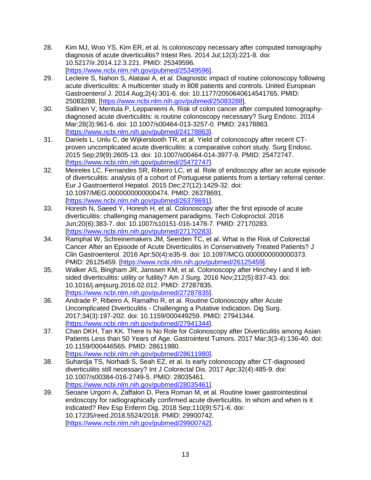- 28. Kim MJ, Woo YS, Kim ER, et al. Is colonoscopy necessary after computed tomography diagnosis of acute diverticulitis? Intest Res. 2014 Jul;12(3):221-8. doi: 10.5217/ir.2014.12.3.221. PMID: 25349596. [\[https://www.ncbi.nlm.nih.gov/pubmed/25349596\]](https://www.ncbi.nlm.nih.gov/pubmed/25349596).
- 29. Lecleire S, Nahon S, Alatawi A, et al. Diagnostic impact of routine colonoscopy following acute diverticulitis: A multicenter study in 808 patients and controls. United European Gastroenterol J. 2014 Aug;2(4):301-6. doi: 10.1177/2050640614541765. PMID: 25083288. [\[https://www.ncbi.nlm.nih.gov/pubmed/25083288\]](https://www.ncbi.nlm.nih.gov/pubmed/25083288).
- 30. Sallinen V, Mentula P, Leppaniemi A. Risk of colon cancer after computed tomographydiagnosed acute diverticulitis: is routine colonoscopy necessary? Surg Endosc. 2014 Mar;28(3):961-6. doi: 10.1007/s00464-013-3257-0. PMID: 24178863. [\[https://www.ncbi.nlm.nih.gov/pubmed/24178863\]](https://www.ncbi.nlm.nih.gov/pubmed/24178863).
- 31. Daniels L, Unlu C, de Wijkerslooth TR, et al. Yield of colonoscopy after recent CTproven uncomplicated acute diverticulitis: a comparative cohort study. Surg Endosc. 2015 Sep;29(9):2605-13. doi: 10.1007/s00464-014-3977-9. PMID: 25472747. [\[https://www.ncbi.nlm.nih.gov/pubmed/25472747\]](https://www.ncbi.nlm.nih.gov/pubmed/25472747).
- 32. Meireles LC, Fernandes SR, Ribeiro LC, et al. Role of endoscopy after an acute episode of diverticulitis: analysis of a cohort of Portuguese patients from a tertiary referral center. Eur J Gastroenterol Hepatol. 2015 Dec;27(12):1429-32. doi: 10.1097/MEG.0000000000000474. PMID: 26378691. [\[https://www.ncbi.nlm.nih.gov/pubmed/26378691\]](https://www.ncbi.nlm.nih.gov/pubmed/26378691).
- 33. Horesh N, Saeed Y, Horesh H, et al. Colonoscopy after the first episode of acute diverticulitis: challenging management paradigms. Tech Coloproctol. 2016 Jun;20(6):383-7. doi: 10.1007/s10151-016-1478-7. PMID: 27170283. [\[https://www.ncbi.nlm.nih.gov/pubmed/27170283\]](https://www.ncbi.nlm.nih.gov/pubmed/27170283).
- 34. Ramphal W, Schreinemakers JM, Seerden TC, et al. What is the Risk of Colorectal Cancer After an Episode of Acute Diverticulitis in Conservatively Treated Patients? J Clin Gastroenterol. 2016 Apr;50(4):e35-9. doi: 10.1097/MCG.0000000000000373. PMID: 26125459. [\[https://www.ncbi.nlm.nih.gov/pubmed/26125459\]](https://www.ncbi.nlm.nih.gov/pubmed/26125459).
- 35. Walker AS, Bingham JR, Janssen KM, et al. Colonoscopy after Hinchey I and II leftsided diverticulitis: utility or futility? Am J Surg. 2016 Nov;212(5):837-43. doi: 10.1016/j.amjsurg.2016.02.012. PMID: 27287835. [\[https://www.ncbi.nlm.nih.gov/pubmed/27287835\]](https://www.ncbi.nlm.nih.gov/pubmed/27287835).
- 36. Andrade P, Ribeiro A, Ramalho R, et al. Routine Colonoscopy after Acute Uncomplicated Diverticulitis - Challenging a Putative Indication. Dig Surg. 2017;34(3):197-202. doi: 10.1159/000449259. PMID: 27941344. [\[https://www.ncbi.nlm.nih.gov/pubmed/27941344\]](https://www.ncbi.nlm.nih.gov/pubmed/27941344).
- 37. Chan DKH, Tan KK. There Is No Role for Colonoscopy after Diverticulitis among Asian Patients Less than 50 Years of Age. Gastrointest Tumors. 2017 Mar;3(3-4):136-40. doi: 10.1159/000446565. PMID: 28611980. [\[https://www.ncbi.nlm.nih.gov/pubmed/28611980\]](https://www.ncbi.nlm.nih.gov/pubmed/28611980).
- 38. Suhardja TS, Norhadi S, Seah EZ, et al. Is early colonoscopy after CT-diagnosed diverticulitis still necessary? Int J Colorectal Dis. 2017 Apr;32(4):485-9. doi: 10.1007/s00384-016-2749-5. PMID: 28035461. [\[https://www.ncbi.nlm.nih.gov/pubmed/28035461\]](https://www.ncbi.nlm.nih.gov/pubmed/28035461).
- 39. Seoane Urgorri A, Zaffalon D, Pera Roman M, et al. Routine lower gastrointestinal endoscopy for radiographically confirmed acute diverticulitis. In whom and when is it indicated? Rev Esp Enferm Dig. 2018 Sep;110(9):571-6. doi: 10.17235/reed.2018.5524/2018. PMID: 29900742. [\[https://www.ncbi.nlm.nih.gov/pubmed/29900742\]](https://www.ncbi.nlm.nih.gov/pubmed/29900742).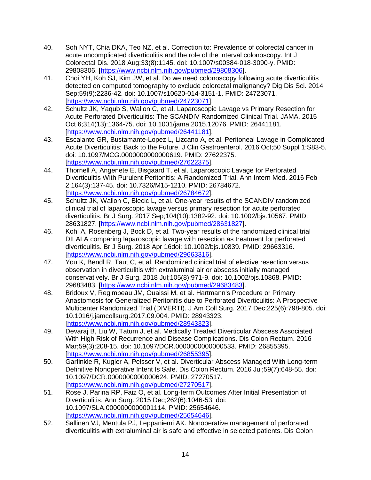- 40. Soh NYT, Chia DKA, Teo NZ, et al. Correction to: Prevalence of colorectal cancer in acute uncomplicated diverticulitis and the role of the interval colonoscopy. Int J Colorectal Dis. 2018 Aug;33(8):1145. doi: 10.1007/s00384-018-3090-y. PMID: 29808306. [\[https://www.ncbi.nlm.nih.gov/pubmed/29808306\]](https://www.ncbi.nlm.nih.gov/pubmed/29808306).
- 41. Choi YH, Koh SJ, Kim JW, et al. Do we need colonoscopy following acute diverticulitis detected on computed tomography to exclude colorectal malignancy? Dig Dis Sci. 2014 Sep;59(9):2236-42. doi: 10.1007/s10620-014-3151-1. PMID: 24723071. [\[https://www.ncbi.nlm.nih.gov/pubmed/24723071\]](https://www.ncbi.nlm.nih.gov/pubmed/24723071).
- 42. Schultz JK, Yaqub S, Wallon C, et al. Laparoscopic Lavage vs Primary Resection for Acute Perforated Diverticulitis: The SCANDIV Randomized Clinical Trial. JAMA. 2015 Oct 6;314(13):1364-75. doi: 10.1001/jama.2015.12076. PMID: 26441181. [\[https://www.ncbi.nlm.nih.gov/pubmed/26441181\]](https://www.ncbi.nlm.nih.gov/pubmed/26441181).
- 43. Escalante GR, Bustamante-Lopez L, Lizcano A, et al. Peritoneal Lavage in Complicated Acute Diverticulitis: Back to the Future. J Clin Gastroenterol. 2016 Oct;50 Suppl 1:S83-5. doi: 10.1097/MCG.0000000000000619. PMID: 27622375. [\[https://www.ncbi.nlm.nih.gov/pubmed/27622375\]](https://www.ncbi.nlm.nih.gov/pubmed/27622375).
- 44. Thornell A, Angenete E, Bisgaard T, et al. Laparoscopic Lavage for Perforated Diverticulitis With Purulent Peritonitis: A Randomized Trial. Ann Intern Med. 2016 Feb 2;164(3):137-45. doi: 10.7326/M15-1210. PMID: 26784672. [\[https://www.ncbi.nlm.nih.gov/pubmed/26784672\]](https://www.ncbi.nlm.nih.gov/pubmed/26784672).
- 45. Schultz JK, Wallon C, Blecic L, et al. One-year results of the SCANDIV randomized clinical trial of laparoscopic lavage versus primary resection for acute perforated diverticulitis. Br J Surg. 2017 Sep;104(10):1382-92. doi: 10.1002/bjs.10567. PMID: 28631827. [\[https://www.ncbi.nlm.nih.gov/pubmed/28631827\]](https://www.ncbi.nlm.nih.gov/pubmed/28631827).
- 46. Kohl A, Rosenberg J, Bock D, et al. Two-year results of the randomized clinical trial DILALA comparing laparoscopic lavage with resection as treatment for perforated diverticulitis. Br J Surg. 2018 Apr 16doi: 10.1002/bjs.10839. PMID: 29663316. [\[https://www.ncbi.nlm.nih.gov/pubmed/29663316\]](https://www.ncbi.nlm.nih.gov/pubmed/29663316).
- 47. You K, Bendl R, Taut C, et al. Randomized clinical trial of elective resection versus observation in diverticulitis with extraluminal air or abscess initially managed conservatively. Br J Surg. 2018 Jul;105(8):971-9. doi: 10.1002/bjs.10868. PMID: 29683483. [\[https://www.ncbi.nlm.nih.gov/pubmed/29683483\]](https://www.ncbi.nlm.nih.gov/pubmed/29683483).
- 48. Bridoux V, Regimbeau JM, Ouaissi M, et al. Hartmann's Procedure or Primary Anastomosis for Generalized Peritonitis due to Perforated Diverticulitis: A Prospective Multicenter Randomized Trial (DIVERTI). J Am Coll Surg. 2017 Dec;225(6):798-805. doi: 10.1016/j.jamcollsurg.2017.09.004. PMID: 28943323. [\[https://www.ncbi.nlm.nih.gov/pubmed/28943323\]](https://www.ncbi.nlm.nih.gov/pubmed/28943323).
- 49. Devaraj B, Liu W, Tatum J, et al. Medically Treated Diverticular Abscess Associated With High Risk of Recurrence and Disease Complications. Dis Colon Rectum. 2016 Mar;59(3):208-15. doi: 10.1097/DCR.0000000000000533. PMID: 26855395. [\[https://www.ncbi.nlm.nih.gov/pubmed/26855395\]](https://www.ncbi.nlm.nih.gov/pubmed/26855395).
- 50. Garfinkle R, Kugler A, Pelsser V, et al. Diverticular Abscess Managed With Long-term Definitive Nonoperative Intent Is Safe. Dis Colon Rectum. 2016 Jul;59(7):648-55. doi: 10.1097/DCR.0000000000000624. PMID: 27270517. [\[https://www.ncbi.nlm.nih.gov/pubmed/27270517\]](https://www.ncbi.nlm.nih.gov/pubmed/27270517).
- 51. Rose J, Parina RP, Faiz O, et al. Long-term Outcomes After Initial Presentation of Diverticulitis. Ann Surg. 2015 Dec;262(6):1046-53. doi: 10.1097/SLA.0000000000001114. PMID: 25654646. [\[https://www.ncbi.nlm.nih.gov/pubmed/25654646\]](https://www.ncbi.nlm.nih.gov/pubmed/25654646).
- 52. Sallinen VJ, Mentula PJ, Leppaniemi AK. Nonoperative management of perforated diverticulitis with extraluminal air is safe and effective in selected patients. Dis Colon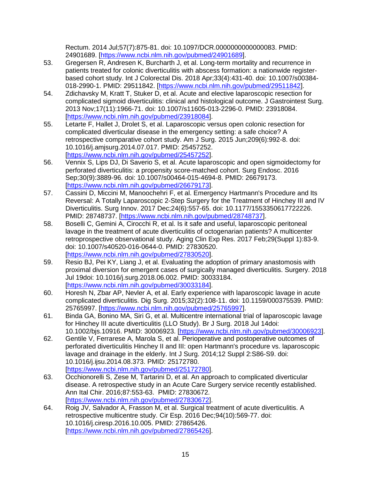Rectum. 2014 Jul;57(7):875-81. doi: 10.1097/DCR.0000000000000083. PMID: 24901689. [\[https://www.ncbi.nlm.nih.gov/pubmed/24901689\]](https://www.ncbi.nlm.nih.gov/pubmed/24901689).

- 53. Gregersen R, Andresen K, Burcharth J, et al. Long-term mortality and recurrence in patients treated for colonic diverticulitis with abscess formation: a nationwide registerbased cohort study. Int J Colorectal Dis. 2018 Apr;33(4):431-40. doi: 10.1007/s00384- 018-2990-1. PMID: 29511842. [\[https://www.ncbi.nlm.nih.gov/pubmed/29511842\]](https://www.ncbi.nlm.nih.gov/pubmed/29511842).
- 54. Zdichavsky M, Kratt T, Stuker D, et al. Acute and elective laparoscopic resection for complicated sigmoid diverticulitis: clinical and histological outcome. J Gastrointest Surg. 2013 Nov;17(11):1966-71. doi: 10.1007/s11605-013-2296-0. PMID: 23918084. [\[https://www.ncbi.nlm.nih.gov/pubmed/23918084\]](https://www.ncbi.nlm.nih.gov/pubmed/23918084).
- 55. Letarte F, Hallet J, Drolet S, et al. Laparoscopic versus open colonic resection for complicated diverticular disease in the emergency setting: a safe choice? A retrospective comparative cohort study. Am J Surg. 2015 Jun;209(6):992-8. doi: 10.1016/j.amjsurg.2014.07.017. PMID: 25457252. [\[https://www.ncbi.nlm.nih.gov/pubmed/25457252\]](https://www.ncbi.nlm.nih.gov/pubmed/25457252).
- 56. Vennix S, Lips DJ, Di Saverio S, et al. Acute laparoscopic and open sigmoidectomy for perforated diverticulitis: a propensity score-matched cohort. Surg Endosc. 2016 Sep;30(9):3889-96. doi: 10.1007/s00464-015-4694-8. PMID: 26679173. [\[https://www.ncbi.nlm.nih.gov/pubmed/26679173\]](https://www.ncbi.nlm.nih.gov/pubmed/26679173).
- 57. Cassini D, Miccini M, Manoochehri F, et al. Emergency Hartmann's Procedure and Its Reversal: A Totally Laparoscopic 2-Step Surgery for the Treatment of Hinchey III and IV Diverticulitis. Surg Innov. 2017 Dec;24(6):557-65. doi: 10.1177/1553350617722226. PMID: 28748737. [\[https://www.ncbi.nlm.nih.gov/pubmed/28748737\]](https://www.ncbi.nlm.nih.gov/pubmed/28748737).
- 58. Boselli C, Gemini A, Cirocchi R, et al. Is it safe and useful, laparoscopic peritoneal lavage in the treatment of acute diverticulitis of octogenarian patients? A multicenter retroprospective observational study. Aging Clin Exp Res. 2017 Feb;29(Suppl 1):83-9. doi: 10.1007/s40520-016-0644-0. PMID: 27830520. [\[https://www.ncbi.nlm.nih.gov/pubmed/27830520\]](https://www.ncbi.nlm.nih.gov/pubmed/27830520).
- 59. Resio BJ, Pei KY, Liang J, et al. Evaluating the adoption of primary anastomosis with proximal diversion for emergent cases of surgically managed diverticulitis. Surgery. 2018 Jul 19doi: 10.1016/j.surg.2018.06.002. PMID: 30033184. [\[https://www.ncbi.nlm.nih.gov/pubmed/30033184\]](https://www.ncbi.nlm.nih.gov/pubmed/30033184).
- 60. Horesh N, Zbar AP, Nevler A, et al. Early experience with laparoscopic lavage in acute complicated diverticulitis. Dig Surg. 2015;32(2):108-11. doi: 10.1159/000375539. PMID: 25765997. [\[https://www.ncbi.nlm.nih.gov/pubmed/25765997\]](https://www.ncbi.nlm.nih.gov/pubmed/25765997).
- 61. Binda GA, Bonino MA, Siri G, et al. Multicentre international trial of laparoscopic lavage for Hinchey III acute diverticulitis (LLO Study). Br J Surg. 2018 Jul 14doi: 10.1002/bjs.10916. PMID: 30006923. [\[https://www.ncbi.nlm.nih.gov/pubmed/30006923\]](https://www.ncbi.nlm.nih.gov/pubmed/30006923).
- 62. Gentile V, Ferrarese A, Marola S, et al. Perioperative and postoperative outcomes of perforated diverticulitis Hinchey II and III: open Hartmann's procedure vs. laparoscopic lavage and drainage in the elderly. Int J Surg. 2014;12 Suppl 2:S86-S9. doi: 10.1016/j.ijsu.2014.08.373. PMID: 25172780. [\[https://www.ncbi.nlm.nih.gov/pubmed/25172780\]](https://www.ncbi.nlm.nih.gov/pubmed/25172780).
- 63. Occhionorelli S, Zese M, Tartarini D, et al. An approach to complicated diverticular disease. A retrospective study in an Acute Care Surgery service recently established. Ann Ital Chir. 2016;87:553-63. PMID: 27830672. [\[https://www.ncbi.nlm.nih.gov/pubmed/27830672\]](https://www.ncbi.nlm.nih.gov/pubmed/27830672).
- 64. Roig JV, Salvador A, Frasson M, et al. Surgical treatment of acute diverticulitis. A retrospective multicentre study. Cir Esp. 2016 Dec;94(10):569-77. doi: 10.1016/j.ciresp.2016.10.005. PMID: 27865426. [\[https://www.ncbi.nlm.nih.gov/pubmed/27865426\]](https://www.ncbi.nlm.nih.gov/pubmed/27865426).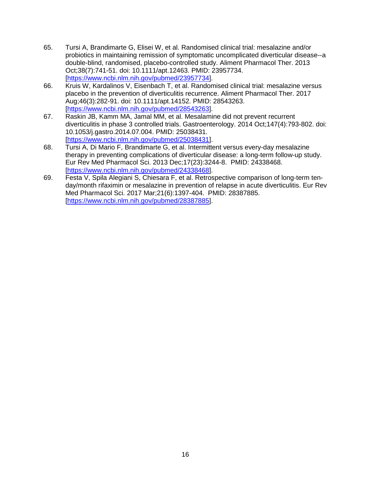- 65. Tursi A, Brandimarte G, Elisei W, et al. Randomised clinical trial: mesalazine and/or probiotics in maintaining remission of symptomatic uncomplicated diverticular disease--a double-blind, randomised, placebo-controlled study. Aliment Pharmacol Ther. 2013 Oct;38(7):741-51. doi: 10.1111/apt.12463. PMID: 23957734. [\[https://www.ncbi.nlm.nih.gov/pubmed/23957734\]](https://www.ncbi.nlm.nih.gov/pubmed/23957734).
- 66. Kruis W, Kardalinos V, Eisenbach T, et al. Randomised clinical trial: mesalazine versus placebo in the prevention of diverticulitis recurrence. Aliment Pharmacol Ther. 2017 Aug;46(3):282-91. doi: 10.1111/apt.14152. PMID: 28543263. [\[https://www.ncbi.nlm.nih.gov/pubmed/28543263\]](https://www.ncbi.nlm.nih.gov/pubmed/28543263).
- 67. Raskin JB, Kamm MA, Jamal MM, et al. Mesalamine did not prevent recurrent diverticulitis in phase 3 controlled trials. Gastroenterology. 2014 Oct;147(4):793-802. doi: 10.1053/j.gastro.2014.07.004. PMID: 25038431. [\[https://www.ncbi.nlm.nih.gov/pubmed/25038431\]](https://www.ncbi.nlm.nih.gov/pubmed/25038431).
- 68. Tursi A, Di Mario F, Brandimarte G, et al. Intermittent versus every-day mesalazine therapy in preventing complications of diverticular disease: a long-term follow-up study. Eur Rev Med Pharmacol Sci. 2013 Dec;17(23):3244-8. PMID: 24338468. [\[https://www.ncbi.nlm.nih.gov/pubmed/24338468\]](https://www.ncbi.nlm.nih.gov/pubmed/24338468).
- 69. Festa V, Spila Alegiani S, Chiesara F, et al. Retrospective comparison of long-term tenday/month rifaximin or mesalazine in prevention of relapse in acute diverticulitis. Eur Rev Med Pharmacol Sci. 2017 Mar;21(6):1397-404. PMID: 28387885. [\[https://www.ncbi.nlm.nih.gov/pubmed/28387885\]](https://www.ncbi.nlm.nih.gov/pubmed/28387885).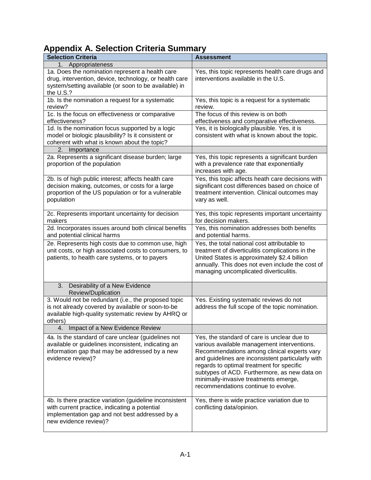# **Appendix A. Selection Criteria Summary**

| - - - - - - - -<br><b>Selection Criteria</b>                                                                                                                                        | <b>Assessment</b>                                                                                                                                                                                                                                                                                                                                                           |
|-------------------------------------------------------------------------------------------------------------------------------------------------------------------------------------|-----------------------------------------------------------------------------------------------------------------------------------------------------------------------------------------------------------------------------------------------------------------------------------------------------------------------------------------------------------------------------|
| 1. Appropriateness                                                                                                                                                                  |                                                                                                                                                                                                                                                                                                                                                                             |
| 1a. Does the nomination represent a health care<br>drug, intervention, device, technology, or health care<br>system/setting available (or soon to be available) in<br>the U.S.?     | Yes, this topic represents health care drugs and<br>interventions available in the U.S.                                                                                                                                                                                                                                                                                     |
| 1b. Is the nomination a request for a systematic<br>review?                                                                                                                         | Yes, this topic is a request for a systematic<br>review.                                                                                                                                                                                                                                                                                                                    |
| 1c. Is the focus on effectiveness or comparative<br>effectiveness?                                                                                                                  | The focus of this review is on both<br>effectiveness and comparative effectiveness.                                                                                                                                                                                                                                                                                         |
| 1d. Is the nomination focus supported by a logic<br>model or biologic plausibility? Is it consistent or<br>coherent with what is known about the topic?                             | Yes, it is biologically plausible. Yes, it is<br>consistent with what is known about the topic.                                                                                                                                                                                                                                                                             |
| 2. Importance                                                                                                                                                                       |                                                                                                                                                                                                                                                                                                                                                                             |
| 2a. Represents a significant disease burden; large<br>proportion of the population                                                                                                  | Yes, this topic represents a significant burden<br>with a prevalence rate that exponentially<br>increases with age.                                                                                                                                                                                                                                                         |
| 2b. Is of high public interest; affects health care<br>decision making, outcomes, or costs for a large<br>proportion of the US population or for a vulnerable<br>population         | Yes, this topic affects heath care decisions with<br>significant cost differences based on choice of<br>treatment intervention. Clinical outcomes may<br>vary as well.                                                                                                                                                                                                      |
| 2c. Represents important uncertainty for decision<br>makers                                                                                                                         | Yes, this topic represents important uncertainty<br>for decision makers.                                                                                                                                                                                                                                                                                                    |
| 2d. Incorporates issues around both clinical benefits<br>and potential clinical harms                                                                                               | Yes, this nomination addresses both benefits<br>and potential harms.                                                                                                                                                                                                                                                                                                        |
| 2e. Represents high costs due to common use, high<br>unit costs, or high associated costs to consumers, to<br>patients, to health care systems, or to payers                        | Yes, the total national cost attributable to<br>treatment of diverticulitis complications in the<br>United States is approximately \$2.4 billion<br>annually. This does not even include the cost of<br>managing uncomplicated diverticulitis.                                                                                                                              |
| Desirability of a New Evidence<br>3.<br>Review/Duplication                                                                                                                          |                                                                                                                                                                                                                                                                                                                                                                             |
| 3. Would not be redundant (i.e., the proposed topic<br>is not already covered by available or soon-to-be<br>available high-quality systematic review by AHRQ or<br>others)          | Yes. Existing systematic reviews do not<br>address the full scope of the topic nomination.                                                                                                                                                                                                                                                                                  |
| Impact of a New Evidence Review<br>4.                                                                                                                                               |                                                                                                                                                                                                                                                                                                                                                                             |
| 4a. Is the standard of care unclear (guidelines not<br>available or guidelines inconsistent, indicating an<br>information gap that may be addressed by a new<br>evidence review)?   | Yes, the standard of care is unclear due to<br>various available management interventions.<br>Recommendations among clinical experts vary<br>and guidelines are inconsistent particularly with<br>regards to optimal treatment for specific<br>subtypes of ACD. Furthermore, as new data on<br>minimally-invasive treatments emerge,<br>recommendations continue to evolve. |
| 4b. Is there practice variation (guideline inconsistent<br>with current practice, indicating a potential<br>implementation gap and not best addressed by a<br>new evidence review)? | Yes, there is wide practice variation due to<br>conflicting data/opinion.                                                                                                                                                                                                                                                                                                   |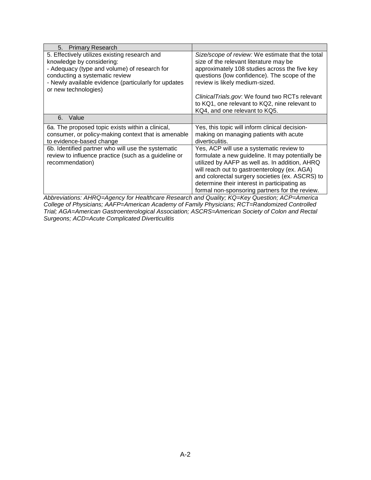| <b>Primary Research</b><br>5.                                                                                                                                                                                                                |                                                                                                                                                                                                                                                                                                                                                     |
|----------------------------------------------------------------------------------------------------------------------------------------------------------------------------------------------------------------------------------------------|-----------------------------------------------------------------------------------------------------------------------------------------------------------------------------------------------------------------------------------------------------------------------------------------------------------------------------------------------------|
| 5. Effectively utilizes existing research and<br>knowledge by considering:<br>- Adequacy (type and volume) of research for<br>conducting a systematic review<br>- Newly available evidence (particularly for updates<br>or new technologies) | Size/scope of review: We estimate that the total<br>size of the relevant literature may be<br>approximately 108 studies across the five key<br>questions (low confidence). The scope of the<br>review is likely medium-sized.                                                                                                                       |
|                                                                                                                                                                                                                                              | ClinicalTrials.gov: We found two RCTs relevant<br>to KQ1, one relevant to KQ2, nine relevant to<br>KQ4, and one relevant to KQ5.                                                                                                                                                                                                                    |
| Value<br>6.                                                                                                                                                                                                                                  |                                                                                                                                                                                                                                                                                                                                                     |
| 6a. The proposed topic exists within a clinical,<br>consumer, or policy-making context that is amenable<br>to evidence-based change                                                                                                          | Yes, this topic will inform clinical decision-<br>making on managing patients with acute<br>diverticulitis.                                                                                                                                                                                                                                         |
| 6b. Identified partner who will use the systematic<br>review to influence practice (such as a guideline or<br>recommendation)                                                                                                                | Yes, ACP will use a systematic review to<br>formulate a new guideline. It may potentially be<br>utilized by AAFP as well as. In addition, AHRQ<br>will reach out to gastroenterology (ex. AGA)<br>and colorectal surgery societies (ex. ASCRS) to<br>determine their interest in participating as<br>formal non-sponsoring partners for the review. |

*Abbreviations: AHRQ=Agency for Healthcare Research and Quality; KQ=Key Question; ACP=America College of Physicians; AAFP=American Academy of Family Physicians; RCT=Randomized Controlled Trial; AGA=American Gastroenterological Association; ASCRS=American Society of Colon and Rectal Surgeons; ACD=Acute Complicated Diverticulitis*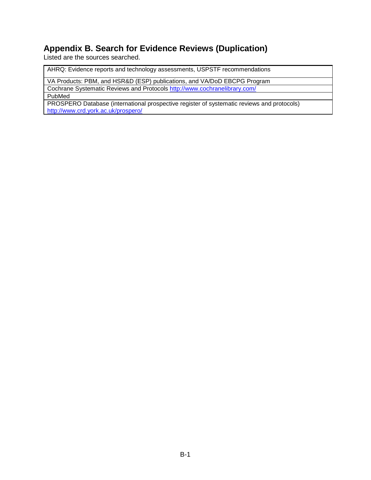# **Appendix B. Search for Evidence Reviews (Duplication)**

Listed are the sources searched.

AHRQ: Evidence reports and technology assessments, USPSTF recommendations

VA Products: PBM, and HSR&D (ESP) publications, and VA/DoD EBCPG Program

Cochrane Systematic Reviews and Protocols<http://www.cochranelibrary.com/> PubMed

PROSPERO Database (international prospective register of systematic reviews and protocols) <http://www.crd.york.ac.uk/prospero/>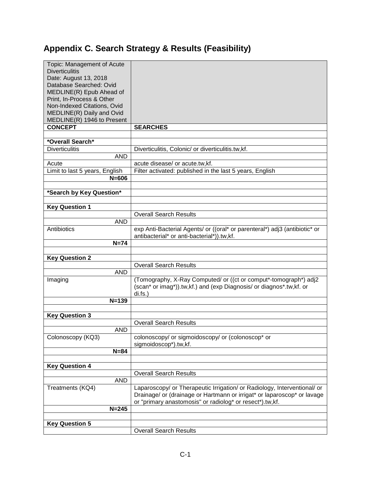# **Appendix C. Search Strategy & Results (Feasibility)**

| Topic: Management of Acute                   |                                                                            |
|----------------------------------------------|----------------------------------------------------------------------------|
| <b>Diverticulitis</b>                        |                                                                            |
| Date: August 13, 2018                        |                                                                            |
| Database Searched: Ovid                      |                                                                            |
| MEDLINE(R) Epub Ahead of                     |                                                                            |
| Print, In-Process & Other                    |                                                                            |
| Non-Indexed Citations, Ovid                  |                                                                            |
| MEDLINE(R) Daily and Ovid                    |                                                                            |
| MEDLINE(R) 1946 to Present<br><b>CONCEPT</b> | <b>SEARCHES</b>                                                            |
|                                              |                                                                            |
| *Overall Search*                             |                                                                            |
| <b>Diverticulitis</b>                        | Diverticulitis, Colonic/ or diverticulitis.tw,kf.                          |
| <b>AND</b>                                   |                                                                            |
| Acute                                        | acute disease/ or acute.tw,kf.                                             |
| Limit to last 5 years, English               | Filter activated: published in the last 5 years, English                   |
| $N = 606$                                    |                                                                            |
|                                              |                                                                            |
| *Search by Key Question*                     |                                                                            |
|                                              |                                                                            |
| <b>Key Question 1</b>                        | <b>Overall Search Results</b>                                              |
| <b>AND</b>                                   |                                                                            |
| Antibiotics                                  | exp Anti-Bacterial Agents/ or ((oral* or parenteral*) adj3 (antibiotic* or |
|                                              | antibacterial* or anti-bacterial*)).tw,kf.                                 |
| $N=74$                                       |                                                                            |
|                                              |                                                                            |
|                                              |                                                                            |
| <b>Key Question 2</b>                        |                                                                            |
|                                              | <b>Overall Search Results</b>                                              |
| <b>AND</b>                                   |                                                                            |
| Imaging                                      | (Tomography, X-Ray Computed/ or ((ct or comput*-tomograph*) adj2           |
|                                              | (scan* or imag*)).tw,kf.) and (exp Diagnosis/ or diagnos*.tw,kf. or        |
|                                              | $di.fs.$ )                                                                 |
| $N = 139$                                    |                                                                            |
|                                              |                                                                            |
| <b>Key Question 3</b>                        | <b>Overall Search Results</b>                                              |
| AND                                          |                                                                            |
| Colonoscopy (KQ3)                            | colonoscopy/ or sigmoidoscopy/ or (colonoscop* or                          |
|                                              | sigmoidoscop*).tw,kf.                                                      |
| $N=84$                                       |                                                                            |
|                                              |                                                                            |
| <b>Key Question 4</b>                        |                                                                            |
|                                              | <b>Overall Search Results</b>                                              |
| <b>AND</b>                                   |                                                                            |
| Treatments (KQ4)                             | Laparoscopy/ or Therapeutic Irrigation/ or Radiology, Interventional/ or   |
|                                              | Drainage/ or (drainage or Hartmann or irrigat* or laparoscop* or lavage    |
|                                              | or "primary anastomosis" or radiolog* or resect*).tw,kf.                   |
| $N = 245$                                    |                                                                            |
| <b>Key Question 5</b>                        |                                                                            |